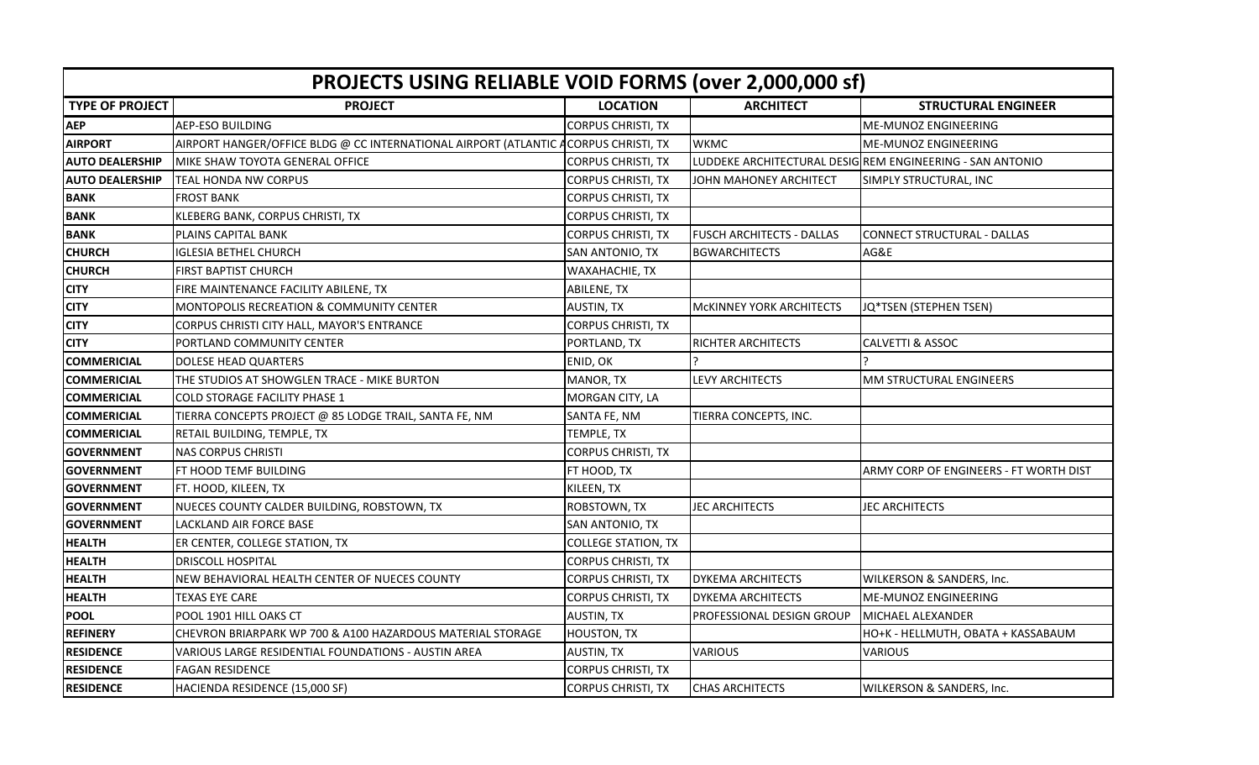| <b>PROJECTS USING RELIABLE VOID FORMS (over 2,000,000 sf)</b> |                                                                 |                            |                                  |                                                          |  |  |  |
|---------------------------------------------------------------|-----------------------------------------------------------------|----------------------------|----------------------------------|----------------------------------------------------------|--|--|--|
| <b>TYPE OF PROJECT</b>                                        | <b>PROJECT</b>                                                  | <b>LOCATION</b>            | <b>ARCHITECT</b>                 | <b>STRUCTURAL ENGINEER</b>                               |  |  |  |
| <b>AEP</b>                                                    | AEP-ESO BUILDING                                                | <b>CORPUS CHRISTI, TX</b>  |                                  | <b>ME-MUNOZ ENGINEERING</b>                              |  |  |  |
| <b>AIRPORT</b>                                                | AIRPORT HANGER/OFFICE BLDG @ CC INTERNATIONAL AIRPORT (ATLANTIC | <b>ACORPUS CHRISTI, TX</b> | <b>WKMC</b>                      | ME-MUNOZ ENGINEERING                                     |  |  |  |
| <b>AUTO DEALERSHIP</b>                                        | IMIKE SHAW TOYOTA GENERAL OFFICE                                | <b>CORPUS CHRISTI, TX</b>  |                                  | LUDDEKE ARCHITECTURAL DESIGREM ENGINEERING - SAN ANTONIO |  |  |  |
| <b>AUTO DEALERSHIP</b>                                        | TEAL HONDA NW CORPUS                                            | <b>CORPUS CHRISTI, TX</b>  | JOHN MAHONEY ARCHITECT           | SIMPLY STRUCTURAL, INC                                   |  |  |  |
| <b>BANK</b>                                                   | <b>FROST BANK</b>                                               | <b>CORPUS CHRISTI, TX</b>  |                                  |                                                          |  |  |  |
| <b>BANK</b>                                                   | KLEBERG BANK, CORPUS CHRISTI, TX                                | <b>CORPUS CHRISTI, TX</b>  |                                  |                                                          |  |  |  |
| <b>BANK</b>                                                   | PLAINS CAPITAL BANK                                             | <b>CORPUS CHRISTI, TX</b>  | <b>FUSCH ARCHITECTS - DALLAS</b> | CONNECT STRUCTURAL - DALLAS                              |  |  |  |
| <b>CHURCH</b>                                                 | <b>IGLESIA BETHEL CHURCH</b>                                    | SAN ANTONIO, TX            | <b>BGWARCHITECTS</b>             | AG&E                                                     |  |  |  |
| <b>CHURCH</b>                                                 | FIRST BAPTIST CHURCH                                            | WAXAHACHIE, TX             |                                  |                                                          |  |  |  |
| <b>CITY</b>                                                   | FIRE MAINTENANCE FACILITY ABILENE, TX                           | ABILENE, TX                |                                  |                                                          |  |  |  |
| <b>CITY</b>                                                   | MONTOPOLIS RECREATION & COMMUNITY CENTER                        | <b>AUSTIN, TX</b>          | <b>MCKINNEY YORK ARCHITECTS</b>  | JQ*TSEN (STEPHEN TSEN)                                   |  |  |  |
| <b>CITY</b>                                                   | CORPUS CHRISTI CITY HALL, MAYOR'S ENTRANCE                      | <b>CORPUS CHRISTI, TX</b>  |                                  |                                                          |  |  |  |
| <b>CITY</b>                                                   | PORTLAND COMMUNITY CENTER                                       | PORTLAND, TX               | RICHTER ARCHITECTS               | <b>CALVETTI &amp; ASSOC</b>                              |  |  |  |
| <b>COMMERICIAL</b>                                            | DOLESE HEAD QUARTERS                                            | ENID, OK                   |                                  |                                                          |  |  |  |
| <b>COMMERICIAL</b>                                            | THE STUDIOS AT SHOWGLEN TRACE - MIKE BURTON                     | MANOR, TX                  | LEVY ARCHITECTS                  | MM STRUCTURAL ENGINEERS                                  |  |  |  |
| <b>COMMERICIAL</b>                                            | <b>COLD STORAGE FACILITY PHASE 1</b>                            | MORGAN CITY, LA            |                                  |                                                          |  |  |  |
| <b>COMMERICIAL</b>                                            | TIERRA CONCEPTS PROJECT @ 85 LODGE TRAIL, SANTA FE, NM          | SANTA FE, NM               | TIERRA CONCEPTS, INC.            |                                                          |  |  |  |
| <b>COMMERICIAL</b>                                            | RETAIL BUILDING, TEMPLE, TX                                     | TEMPLE, TX                 |                                  |                                                          |  |  |  |
| <b>GOVERNMENT</b>                                             | <b>NAS CORPUS CHRISTI</b>                                       | <b>CORPUS CHRISTI, TX</b>  |                                  |                                                          |  |  |  |
| <b>GOVERNMENT</b>                                             | FT HOOD TEMF BUILDING                                           | FT HOOD, TX                |                                  | ARMY CORP OF ENGINEERS - FT WORTH DIST                   |  |  |  |
| <b>GOVERNMENT</b>                                             | FT. HOOD, KILEEN, TX                                            | KILEEN, TX                 |                                  |                                                          |  |  |  |
| <b>GOVERNMENT</b>                                             | NUECES COUNTY CALDER BUILDING, ROBSTOWN, TX                     | ROBSTOWN, TX               | <b>JEC ARCHITECTS</b>            | <b>JEC ARCHITECTS</b>                                    |  |  |  |
| <b>GOVERNMENT</b>                                             | <b>LACKLAND AIR FORCE BASE</b>                                  | SAN ANTONIO, TX            |                                  |                                                          |  |  |  |
| <b>HEALTH</b>                                                 | ER CENTER, COLLEGE STATION, TX                                  | <b>COLLEGE STATION, TX</b> |                                  |                                                          |  |  |  |
| <b>HEALTH</b>                                                 | <b>DRISCOLL HOSPITAL</b>                                        | <b>CORPUS CHRISTI, TX</b>  |                                  |                                                          |  |  |  |
| <b>HEALTH</b>                                                 | NEW BEHAVIORAL HEALTH CENTER OF NUECES COUNTY                   | <b>CORPUS CHRISTI, TX</b>  | <b>DYKEMA ARCHITECTS</b>         | WILKERSON & SANDERS, Inc.                                |  |  |  |
| <b>HEALTH</b>                                                 | TEXAS EYE CARE                                                  | <b>CORPUS CHRISTI, TX</b>  | <b>DYKEMA ARCHITECTS</b>         | <b>ME-MUNOZ ENGINEERING</b>                              |  |  |  |
| <b>POOL</b>                                                   | POOL 1901 HILL OAKS CT                                          | <b>AUSTIN, TX</b>          | PROFESSIONAL DESIGN GROUP        | MICHAEL ALEXANDER                                        |  |  |  |
| <b>REFINERY</b>                                               | CHEVRON BRIARPARK WP 700 & A100 HAZARDOUS MATERIAL STORAGE      | HOUSTON, TX                |                                  | HO+K - HELLMUTH, OBATA + KASSABAUM                       |  |  |  |
| <b>RESIDENCE</b>                                              | VARIOUS LARGE RESIDENTIAL FOUNDATIONS - AUSTIN AREA             | <b>AUSTIN, TX</b>          | <b>VARIOUS</b>                   | <b>VARIOUS</b>                                           |  |  |  |
| <b>RESIDENCE</b>                                              | <b>FAGAN RESIDENCE</b>                                          | <b>CORPUS CHRISTI, TX</b>  |                                  |                                                          |  |  |  |
| <b>RESIDENCE</b>                                              | HACIENDA RESIDENCE (15,000 SF)                                  | <b>CORPUS CHRISTI, TX</b>  | <b>CHAS ARCHITECTS</b>           | WILKERSON & SANDERS, Inc.                                |  |  |  |